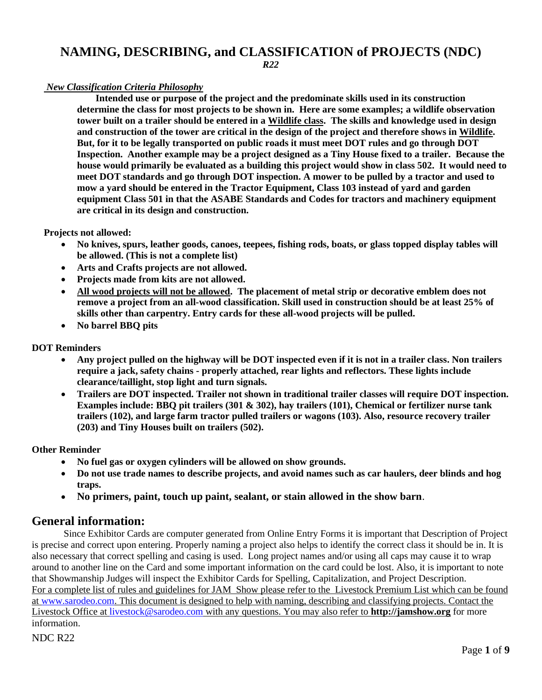# **NAMING, DESCRIBING, and CLASSIFICATION of PROJECTS (NDC)**

*R22*

# *New Classification Criteria Philosophy*

**Intended use or purpose of the project and the predominate skills used in its construction determine the class for most projects to be shown in. Here are some examples; a wildlife observation tower built on a trailer should be entered in a Wildlife class. The skills and knowledge used in design and construction of the tower are critical in the design of the project and therefore shows in Wildlife. But, for it to be legally transported on public roads it must meet DOT rules and go through DOT Inspection. Another example may be a project designed as a Tiny House fixed to a trailer. Because the house would primarily be evaluated as a building this project would show in class 502. It would need to meet DOT standards and go through DOT inspection. A mower to be pulled by a tractor and used to mow a yard should be entered in the Tractor Equipment, Class 103 instead of yard and garden equipment Class 501 in that the ASABE Standards and Codes for tractors and machinery equipment are critical in its design and construction.** 

# **Projects not allowed:**

- **No knives, spurs, leather goods, canoes, teepees, fishing rods, boats, or glass topped display tables will be allowed. (This is not a complete list)**
- **Arts and Crafts projects are not allowed.**
- **Projects made from kits are not allowed.**
- **All wood projects will not be allowed. The placement of metal strip or decorative emblem does not remove a project from an all-wood classification. Skill used in construction should be at least 25% of skills other than carpentry. Entry cards for these all-wood projects will be pulled.**
- **No barrel BBQ pits**

### **DOT Reminders**

- **Any project pulled on the highway will be DOT inspected even if it is not in a trailer class. Non trailers require a jack, safety chains - properly attached, rear lights and reflectors. These lights include clearance/taillight, stop light and turn signals.**
- **Trailers are DOT inspected. Trailer not shown in traditional trailer classes will require DOT inspection. Examples include: BBQ pit trailers (301 & 302), hay trailers (101), Chemical or fertilizer nurse tank trailers (102), and large farm tractor pulled trailers or wagons (103). Also, resource recovery trailer (203) and Tiny Houses built on trailers (502).**

# **Other Reminder**

- **No fuel gas or oxygen cylinders will be allowed on show grounds.**
- **Do not use trade names to describe projects, and avoid names such as car haulers, deer blinds and hog traps.**
- **No primers, paint, touch up paint, sealant, or stain allowed in the show barn**.

# **General information:**

Since Exhibitor Cards are computer generated from Online Entry Forms it is important that Description of Project is precise and correct upon entering. Properly naming a project also helps to identify the correct class it should be in. It is also necessary that correct spelling and casing is used. Long project names and/or using all caps may cause it to wrap around to another line on the Card and some important information on the card could be lost. Also, it is important to note that Showmanship Judges will inspect the Exhibitor Cards for Spelling, Capitalization, and Project Description. For a complete list of rules and guidelines for JAM Show please refer to the Livestock Premium List which can be found at [www.sarodeo.com.](http://www.sarodeo.com/) This document is designed to help with naming, describing and classifying projects. Contact the Livestock Office at [livestock@sarodeo.com](mailto:livestock@sarodeo.com) with any questions. You may also refer to **[http://jamshow.org](http://jamshow.org/)** for more information.

NDC R22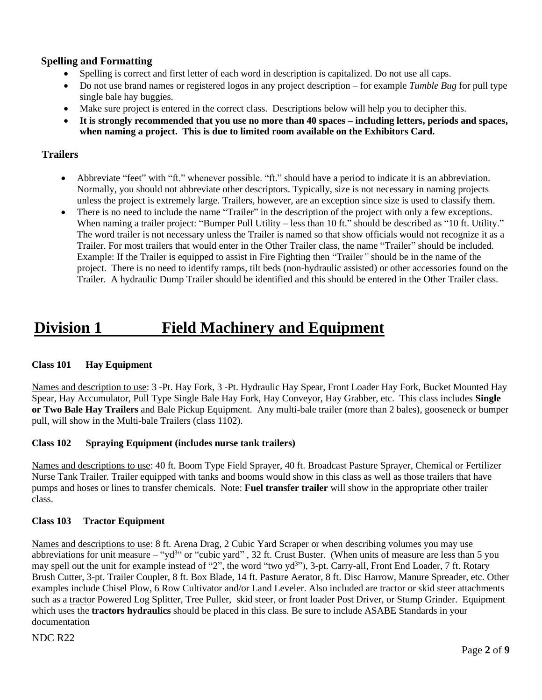# **Spelling and Formatting**

- Spelling is correct and first letter of each word in description is capitalized. Do not use all caps.
- Do not use brand names or registered logos in any project description for example *Tumble Bug* for pull type single bale hay buggies.
- Make sure project is entered in the correct class. Descriptions below will help you to decipher this.
- **It is strongly recommended that you use no more than 40 spaces – including letters, periods and spaces, when naming a project. This is due to limited room available on the Exhibitors Card.**

# **Trailers**

- Abbreviate "feet" with "ft." whenever possible. "ft." should have a period to indicate it is an abbreviation. Normally, you should not abbreviate other descriptors. Typically, size is not necessary in naming projects unless the project is extremely large. Trailers, however, are an exception since size is used to classify them.
- There is no need to include the name "Trailer" in the description of the project with only a few exceptions. When naming a trailer project: "Bumper Pull Utility – less than 10 ft." should be described as "10 ft. Utility." The word trailer is not necessary unless the Trailer is named so that show officials would not recognize it as a Trailer. For most trailers that would enter in the Other Trailer class, the name "Trailer" should be included. Example: If the Trailer is equipped to assist in Fire Fighting then "Trailer*"* should be in the name of the project. There is no need to identify ramps, tilt beds (non-hydraulic assisted) or other accessories found on the Trailer. A hydraulic Dump Trailer should be identified and this should be entered in the Other Trailer class.

# **Division 1 Field Machinery and Equipment**

# **Class 101 Hay Equipment**

Names and description to use: 3 -Pt. Hay Fork, 3 -Pt. Hydraulic Hay Spear, Front Loader Hay Fork, Bucket Mounted Hay Spear, Hay Accumulator, Pull Type Single Bale Hay Fork, Hay Conveyor, Hay Grabber, etc. This class includes **Single or Two Bale Hay Trailers** and Bale Pickup Equipment. Any multi-bale trailer (more than 2 bales), gooseneck or bumper pull, will show in the Multi-bale Trailers (class 1102).

# **Class 102 Spraying Equipment (includes nurse tank trailers)**

Names and descriptions to use: 40 ft. Boom Type Field Sprayer, 40 ft. Broadcast Pasture Sprayer, Chemical or Fertilizer Nurse Tank Trailer. Trailer equipped with tanks and booms would show in this class as well as those trailers that have pumps and hoses or lines to transfer chemicals. Note: **Fuel transfer trailer** will show in the appropriate other trailer class.

#### **Class 103 Tractor Equipment**

Names and descriptions to use: 8 ft. Arena Drag, 2 Cubic Yard Scraper or when describing volumes you may use abbreviations for unit measure  $-$  "yd<sup>3"</sup> or "cubic yard", 32 ft. Crust Buster. (When units of measure are less than 5 you may spell out the unit for example instead of "2", the word "two yd<sup>3</sup>"), 3-pt. Carry-all, Front End Loader, 7 ft. Rotary Brush Cutter, 3-pt. Trailer Coupler, 8 ft. Box Blade, 14 ft. Pasture Aerator, 8 ft. Disc Harrow, Manure Spreader, etc. Other examples include Chisel Plow, 6 Row Cultivator and/or Land Leveler. Also included are tractor or skid steer attachments such as a tractor Powered Log Splitter, Tree Puller, skid steer, or front loader Post Driver, or Stump Grinder. Equipment which uses the **tractors hydraulics** should be placed in this class. Be sure to include ASABE Standards in your documentation

NDC R22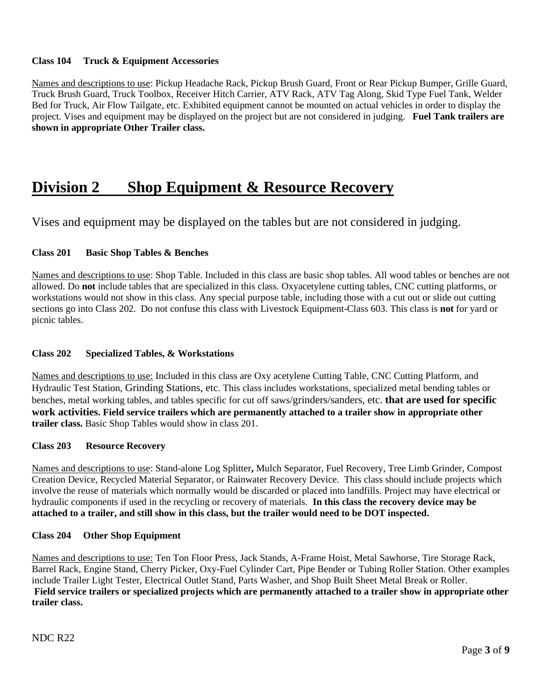# **Class 104 Truck & Equipment Accessories**

Names and descriptions to use: Pickup Headache Rack, Pickup Brush Guard, Front or Rear Pickup Bumper, Grille Guard, Truck Brush Guard, Truck Toolbox, Receiver Hitch Carrier, ATV Rack, ATV Tag Along, Skid Type Fuel Tank, Welder Bed for Truck, Air Flow Tailgate, etc. Exhibited equipment cannot be mounted on actual vehicles in order to display the project. Vises and equipment may be displayed on the project but are not considered in judging. **Fuel Tank trailers are shown in appropriate Other Trailer class.**

# **Division 2 Shop Equipment & Resource Recovery**

Vises and equipment may be displayed on the tables but are not considered in judging.

# **Class 201 Basic Shop Tables & Benches**

Names and descriptions to use: Shop Table. Included in this class are basic shop tables. All wood tables or benches are not allowed. Do **not** include tables that are specialized in this class. Oxyacetylene cutting tables, CNC cutting platforms, or workstations would not show in this class. Any special purpose table, including those with a cut out or slide out cutting sections go into Class 202. Do not confuse this class with Livestock Equipment-Class 603. This class is **not** for yard or picnic tables.

# **Class 202 Specialized Tables, & Workstations**

Names and descriptions to use: Included in this class are Oxy acetylene Cutting Table, CNC Cutting Platform, and Hydraulic Test Station, Grinding Stations, etc. This class includes workstations, specialized metal bending tables or benches, metal working tables, and tables specific for cut off saws/grinders/sanders, etc. **that are used for specific work activities. Field service trailers which are permanently attached to a trailer show in appropriate other trailer class.** Basic Shop Tables would show in class 201.

# **Class 203 Resource Recovery**

Names and descriptions to use: Stand-alone Log Splitter**,** Mulch Separator, Fuel Recovery, Tree Limb Grinder, Compost Creation Device, Recycled Material Separator, or Rainwater Recovery Device. This class should include projects which involve the reuse of materials which normally would be discarded or placed into landfills. Project may have electrical or hydraulic components if used in the recycling or recovery of materials. **In this class the recovery device may be attached to a trailer, and still show in this class, but the trailer would need to be DOT inspected.**

# **Class 204 Other Shop Equipment**

Names and descriptions to use: Ten Ton Floor Press, Jack Stands, A-Frame Hoist, Metal Sawhorse, Tire Storage Rack, Barrel Rack, Engine Stand, Cherry Picker, Oxy-Fuel Cylinder Cart, Pipe Bender or Tubing Roller Station. Other examples include Trailer Light Tester, Electrical Outlet Stand, Parts Washer, and Shop Built Sheet Metal Break or Roller. **Field service trailers or specialized projects which are permanently attached to a trailer show in appropriate other trailer class.**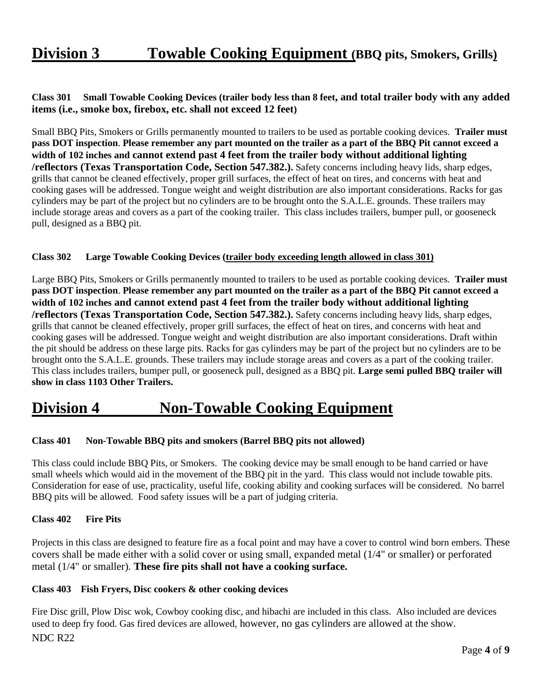# **Division 3** Towable Cooking Equipment *(BBQ pits, Smokers, Grills)*

# **Class 301 Small Towable Cooking Devices (trailer body less than 8 feet, and total trailer body with any added items (i.e., smoke box, firebox, etc. shall not exceed 12 feet)**

Small BBQ Pits, Smokers or Grills permanently mounted to trailers to be used as portable cooking devices. **Trailer must pass DOT inspection**. **Please remember any part mounted on the trailer as a part of the BBQ Pit cannot exceed a width of 102 inches and cannot extend past 4 feet from the trailer body without additional lighting /reflectors (Texas Transportation Code, Section 547.382.).** Safety concerns including heavy lids, sharp edges, grills that cannot be cleaned effectively, proper grill surfaces, the effect of heat on tires, and concerns with heat and cooking gases will be addressed. Tongue weight and weight distribution are also important considerations. Racks for gas cylinders may be part of the project but no cylinders are to be brought onto the S.A.L.E. grounds. These trailers may include storage areas and covers as a part of the cooking trailer. This class includes trailers, bumper pull, or gooseneck pull, designed as a BBQ pit.

# **Class 302 Large Towable Cooking Devices (trailer body exceeding length allowed in class 301)**

Large BBQ Pits, Smokers or Grills permanently mounted to trailers to be used as portable cooking devices. **Trailer must pass DOT inspection**. **Please remember any part mounted on the trailer as a part of the BBQ Pit cannot exceed a width of 102 inches and cannot extend past 4 feet from the trailer body without additional lighting /reflectors (Texas Transportation Code, Section 547.382.).** Safety concerns including heavy lids, sharp edges, grills that cannot be cleaned effectively, proper grill surfaces, the effect of heat on tires, and concerns with heat and cooking gases will be addressed. Tongue weight and weight distribution are also important considerations. Draft within the pit should be address on these large pits. Racks for gas cylinders may be part of the project but no cylinders are to be brought onto the S.A.L.E. grounds. These trailers may include storage areas and covers as a part of the cooking trailer. This class includes trailers, bumper pull, or gooseneck pull, designed as a BBQ pit. **Large semi pulled BBQ trailer will show in class 1103 Other Trailers.**

# **Division 4 Non-Towable Cooking Equipment**

# **Class 401 Non-Towable BBQ pits and smokers (Barrel BBQ pits not allowed)**

This class could include BBQ Pits, or Smokers. The cooking device may be small enough to be hand carried or have small wheels which would aid in the movement of the BBQ pit in the yard. This class would not include towable pits. Consideration for ease of use, practicality, useful life, cooking ability and cooking surfaces will be considered. No barrel BBQ pits will be allowed. Food safety issues will be a part of judging criteria.

# **Class 402 Fire Pits**

Projects in this class are designed to feature fire as a focal point and may have a cover to control wind born embers. These covers shall be made either with a solid cover or using small, expanded metal (1/4" or smaller) or perforated metal (1/4" or smaller). **These fire pits shall not have a cooking surface.**

# **Class 403 Fish Fryers, Disc cookers & other cooking devices**

NDC R22 Fire Disc grill, Plow Disc wok, Cowboy cooking disc, and hibachi are included in this class. Also included are devices used to deep fry food. Gas fired devices are allowed, however, no gas cylinders are allowed at the show.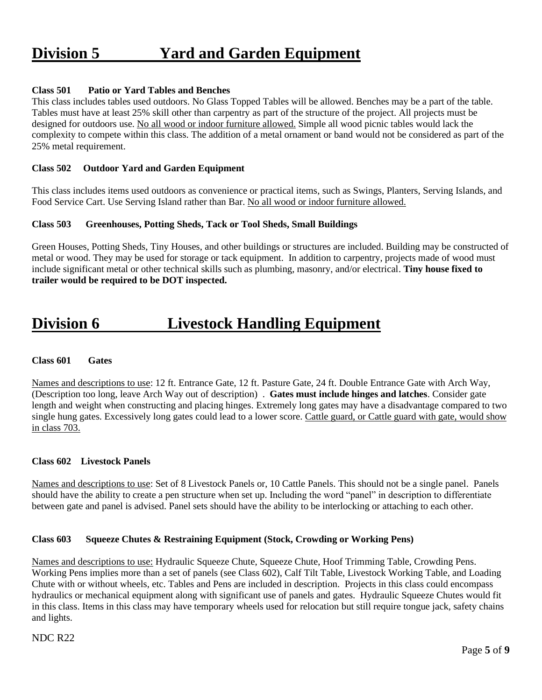# **Division 5 Yard and Garden Equipment**

# **Class 501 Patio or Yard Tables and Benches**

This class includes tables used outdoors. No Glass Topped Tables will be allowed. Benches may be a part of the table. Tables must have at least 25% skill other than carpentry as part of the structure of the project. All projects must be designed for outdoors use. No all wood or indoor furniture allowed. Simple all wood picnic tables would lack the complexity to compete within this class. The addition of a metal ornament or band would not be considered as part of the 25% metal requirement.

# **Class 502 Outdoor Yard and Garden Equipment**

This class includes items used outdoors as convenience or practical items, such as Swings, Planters, Serving Islands, and Food Service Cart. Use Serving Island rather than Bar. No all wood or indoor furniture allowed.

# **Class 503 Greenhouses, Potting Sheds, Tack or Tool Sheds, Small Buildings**

Green Houses, Potting Sheds, Tiny Houses, and other buildings or structures are included. Building may be constructed of metal or wood. They may be used for storage or tack equipment. In addition to carpentry, projects made of wood must include significant metal or other technical skills such as plumbing, masonry, and/or electrical. **Tiny house fixed to trailer would be required to be DOT inspected.**

# **Division 6 Livestock Handling Equipment**

#### **Class 601 Gates**

Names and descriptions to use: 12 ft. Entrance Gate, 12 ft. Pasture Gate, 24 ft. Double Entrance Gate with Arch Way, (Description too long, leave Arch Way out of description) . **Gates must include hinges and latches**. Consider gate length and weight when constructing and placing hinges. Extremely long gates may have a disadvantage compared to two single hung gates. Excessively long gates could lead to a lower score. Cattle guard, or Cattle guard with gate, would show in class 703.

#### **Class 602 Livestock Panels**

Names and descriptions to use: Set of 8 Livestock Panels or, 10 Cattle Panels. This should not be a single panel. Panels should have the ability to create a pen structure when set up. Including the word "panel" in description to differentiate between gate and panel is advised. Panel sets should have the ability to be interlocking or attaching to each other.

# **Class 603 Squeeze Chutes & Restraining Equipment (Stock, Crowding or Working Pens)**

Names and descriptions to use: Hydraulic Squeeze Chute, Squeeze Chute, Hoof Trimming Table, Crowding Pens. Working Pens implies more than a set of panels (see Class 602), Calf Tilt Table, Livestock Working Table, and Loading Chute with or without wheels, etc. Tables and Pens are included in description. Projects in this class could encompass hydraulics or mechanical equipment along with significant use of panels and gates. Hydraulic Squeeze Chutes would fit in this class. Items in this class may have temporary wheels used for relocation but still require tongue jack, safety chains and lights.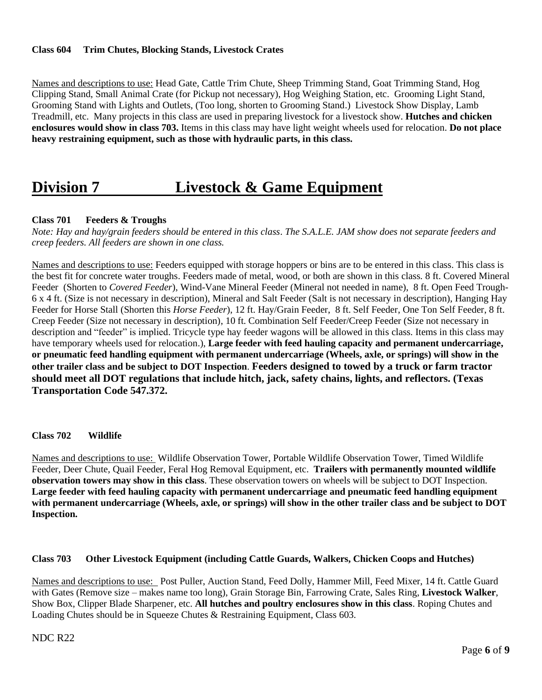### **Class 604 Trim Chutes, Blocking Stands, Livestock Crates**

Names and descriptions to use: Head Gate, Cattle Trim Chute, Sheep Trimming Stand, Goat Trimming Stand, Hog Clipping Stand, Small Animal Crate (for Pickup not necessary), Hog Weighing Station, etc. Grooming Light Stand, Grooming Stand with Lights and Outlets, (Too long, shorten to Grooming Stand.) Livestock Show Display, Lamb Treadmill, etc. Many projects in this class are used in preparing livestock for a livestock show. **Hutches and chicken enclosures would show in class 703.** Items in this class may have light weight wheels used for relocation. **Do not place heavy restraining equipment, such as those with hydraulic parts, in this class.**

# **Division 7 Livestock & Game Equipment**

# **Class 701 Feeders & Troughs**

*Note: Hay and hay/grain feeders should be entered in this class*. *The S.A.L.E. JAM show does not separate feeders and creep feeders. All feeders are shown in one class.* 

Names and descriptions to use: Feeders equipped with storage hoppers or bins are to be entered in this class. This class is the best fit for concrete water troughs. Feeders made of metal, wood, or both are shown in this class*.* 8 ft. Covered Mineral Feeder (Shorten to *Covered Feeder*), Wind-Vane Mineral Feeder (Mineral not needed in name), 8 ft. Open Feed Trough-6 x 4 ft. (Size is not necessary in description), Mineral and Salt Feeder (Salt is not necessary in description), Hanging Hay Feeder for Horse Stall (Shorten this *Horse Feeder*), 12 ft. Hay/Grain Feeder, 8 ft. Self Feeder, One Ton Self Feeder, 8 ft. Creep Feeder (Size not necessary in description), 10 ft. Combination Self Feeder/Creep Feeder (Size not necessary in description and "feeder" is implied. Tricycle type hay feeder wagons will be allowed in this class. Items in this class may have temporary wheels used for relocation.), **Large feeder with feed hauling capacity and permanent undercarriage, or pneumatic feed handling equipment with permanent undercarriage (Wheels, axle, or springs) will show in the other trailer class and be subject to DOT Inspection**. **Feeders designed to towed by a truck or farm tractor should meet all DOT regulations that include hitch, jack, safety chains, lights, and reflectors. (Texas Transportation Code 547.372.**

#### **Class 702 Wildlife**

Names and descriptions to use: Wildlife Observation Tower, Portable Wildlife Observation Tower, Timed Wildlife Feeder, Deer Chute, Quail Feeder, Feral Hog Removal Equipment, etc. **Trailers with permanently mounted wildlife observation towers may show in this class**. These observation towers on wheels will be subject to DOT Inspection. **Large feeder with feed hauling capacity with permanent undercarriage and pneumatic feed handling equipment with permanent undercarriage (Wheels, axle, or springs) will show in the other trailer class and be subject to DOT Inspection.**

#### **Class 703 Other Livestock Equipment (including Cattle Guards, Walkers, Chicken Coops and Hutches)**

Names and descriptions to use: Post Puller, Auction Stand, Feed Dolly, Hammer Mill, Feed Mixer, 14 ft. Cattle Guard with Gates (Remove size – makes name too long), Grain Storage Bin, Farrowing Crate, Sales Ring, **Livestock Walker**, Show Box, Clipper Blade Sharpener, etc. **All hutches and poultry enclosures show in this class**. Roping Chutes and Loading Chutes should be in Squeeze Chutes & Restraining Equipment, Class 603.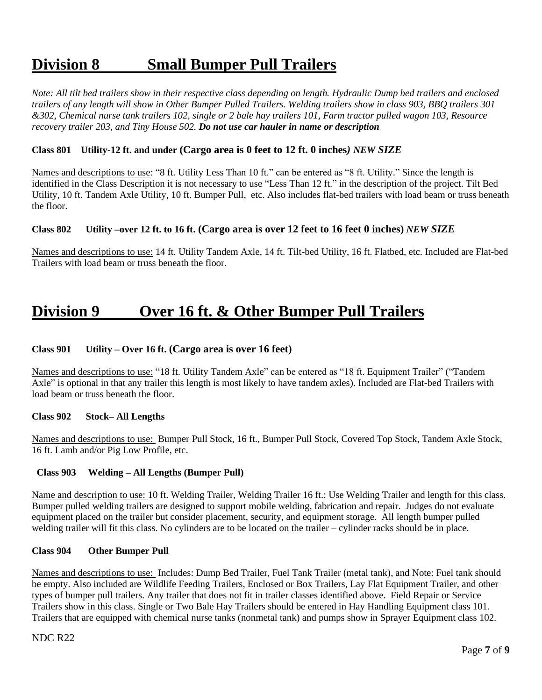# **Division 8 Small Bumper Pull Trailers**

*Note: All tilt bed trailers show in their respective class depending on length. Hydraulic Dump bed trailers and enclosed trailers of any length will show in Other Bumper Pulled Trailers. Welding trailers show in class 903, BBQ trailers 301 &302, Chemical nurse tank trailers 102, single or 2 bale hay trailers 101, Farm tractor pulled wagon 103, Resource recovery trailer 203, and Tiny House 502. Do not use car hauler in name or description*

# **Class 801 Utility-12 ft. and under (Cargo area is 0 feet to 12 ft. 0 inches***) NEW SIZE*

Names and descriptions to use: "8 ft. Utility Less Than 10 ft." can be entered as "8 ft. Utility." Since the length is identified in the Class Description it is not necessary to use "Less Than 12 ft." in the description of the project. Tilt Bed Utility, 10 ft. Tandem Axle Utility, 10 ft. Bumper Pull, etc. Also includes flat-bed trailers with load beam or truss beneath the floor.

# **Class 802 Utility –over 12 ft. to 16 ft. (Cargo area is over 12 feet to 16 feet 0 inches)** *NEW SIZE*

Names and descriptions to use: 14 ft. Utility Tandem Axle, 14 ft. Tilt-bed Utility, 16 ft. Flatbed, etc. Included are Flat-bed Trailers with load beam or truss beneath the floor.

# **Division 9 Over 16 ft. & Other Bumper Pull Trailers**

# **Class 901 Utility – Over 16 ft. (Cargo area is over 16 feet)**

Names and descriptions to use: "18 ft. Utility Tandem Axle" can be entered as "18 ft. Equipment Trailer" ("Tandem Axle" is optional in that any trailer this length is most likely to have tandem axles). Included are Flat-bed Trailers with load beam or truss beneath the floor.

# **Class 902 Stock– All Lengths**

Names and descriptions to use: Bumper Pull Stock, 16 ft., Bumper Pull Stock, Covered Top Stock, Tandem Axle Stock, 16 ft. Lamb and/or Pig Low Profile, etc.

#### **Class 903 Welding – All Lengths (Bumper Pull)**

Name and description to use: 10 ft. Welding Trailer, Welding Trailer 16 ft.: Use Welding Trailer and length for this class. Bumper pulled welding trailers are designed to support mobile welding, fabrication and repair. Judges do not evaluate equipment placed on the trailer but consider placement, security, and equipment storage. All length bumper pulled welding trailer will fit this class. No cylinders are to be located on the trailer – cylinder racks should be in place.

#### **Class 904 Other Bumper Pull**

Names and descriptions to use: Includes: Dump Bed Trailer, Fuel Tank Trailer (metal tank), and Note: Fuel tank should be empty. Also included are Wildlife Feeding Trailers, Enclosed or Box Trailers, Lay Flat Equipment Trailer, and other types of bumper pull trailers. Any trailer that does not fit in trailer classes identified above. Field Repair or Service Trailers show in this class. Single or Two Bale Hay Trailers should be entered in Hay Handling Equipment class 101. Trailers that are equipped with chemical nurse tanks (nonmetal tank) and pumps show in Sprayer Equipment class 102.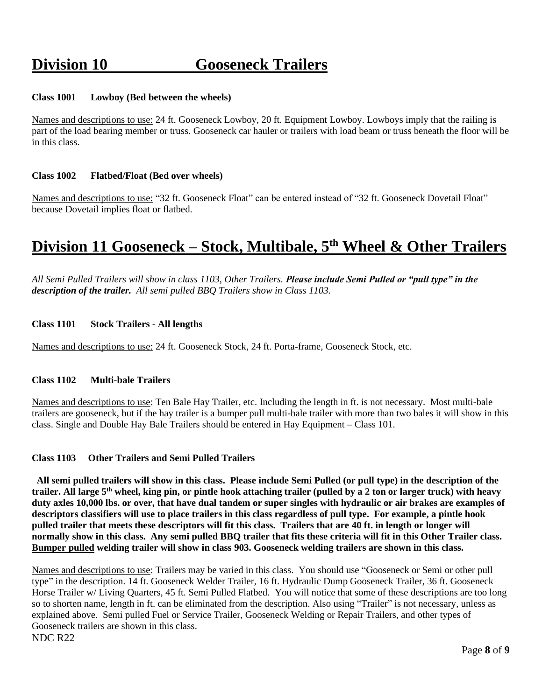# **Division 10 Gooseneck Trailers**

# **Class 1001 Lowboy (Bed between the wheels)**

Names and descriptions to use: 24 ft. Gooseneck Lowboy, 20 ft. Equipment Lowboy. Lowboys imply that the railing is part of the load bearing member or truss. Gooseneck car hauler or trailers with load beam or truss beneath the floor will be in this class.

# **Class 1002 Flatbed/Float (Bed over wheels)**

Names and descriptions to use: "32 ft. Gooseneck Float" can be entered instead of "32 ft. Gooseneck Dovetail Float" because Dovetail implies float or flatbed.

# **Division 11 Gooseneck – Stock, Multibale, 5th Wheel & Other Trailers**

*All Semi Pulled Trailers will show in class 1103, Other Trailers. Please include Semi Pulled or "pull type" in the description of the trailer. All semi pulled BBQ Trailers show in Class 1103.*

# **Class 1101 Stock Trailers - All lengths**

Names and descriptions to use: 24 ft. Gooseneck Stock, 24 ft. Porta-frame, Gooseneck Stock, etc.

# **Class 1102 Multi-bale Trailers**

Names and descriptions to use: Ten Bale Hay Trailer, etc. Including the length in ft. is not necessary. Most multi-bale trailers are gooseneck, but if the hay trailer is a bumper pull multi-bale trailer with more than two bales it will show in this class. Single and Double Hay Bale Trailers should be entered in Hay Equipment – Class 101.

# **Class 1103 Other Trailers and Semi Pulled Trailers**

**All semi pulled trailers will show in this class. Please include Semi Pulled (or pull type) in the description of the trailer. All large 5th wheel, king pin, or pintle hook attaching trailer (pulled by a 2 ton or larger truck) with heavy duty axles 10,000 lbs. or over, that have dual tandem or super singles with hydraulic or air brakes are examples of descriptors classifiers will use to place trailers in this class regardless of pull type. For example, a pintle hook pulled trailer that meets these descriptors will fit this class. Trailers that are 40 ft. in length or longer will normally show in this class. Any semi pulled BBQ trailer that fits these criteria will fit in this Other Trailer class. Bumper pulled welding trailer will show in class 903. Gooseneck welding trailers are shown in this class.**

NDC R22 Names and descriptions to use: Trailers may be varied in this class. You should use "Gooseneck or Semi or other pull type" in the description. 14 ft. Gooseneck Welder Trailer, 16 ft. Hydraulic Dump Gooseneck Trailer, 36 ft. Gooseneck Horse Trailer w/ Living Quarters, 45 ft. Semi Pulled Flatbed. You will notice that some of these descriptions are too long so to shorten name, length in ft. can be eliminated from the description. Also using "Trailer" is not necessary, unless as explained above. Semi pulled Fuel or Service Trailer, Gooseneck Welding or Repair Trailers, and other types of Gooseneck trailers are shown in this class.